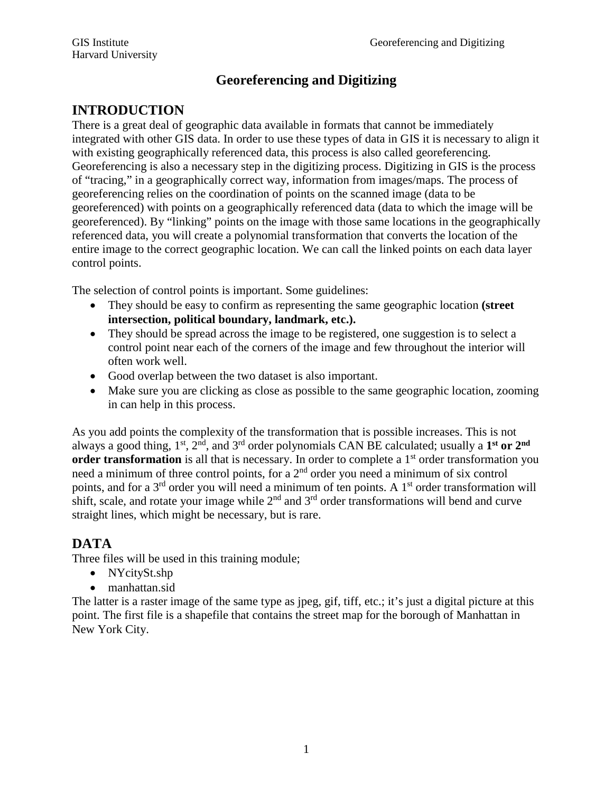# **Georeferencing and Digitizing**

# **INTRODUCTION**

There is a great deal of geographic data available in formats that cannot be immediately integrated with other GIS data. In order to use these types of data in GIS it is necessary to align it with existing geographically referenced data, this process is also called georeferencing. Georeferencing is also a necessary step in the digitizing process. Digitizing in GIS is the process of "tracing," in a geographically correct way, information from images/maps. The process of georeferencing relies on the coordination of points on the scanned image (data to be georeferenced) with points on a geographically referenced data (data to which the image will be georeferenced). By "linking" points on the image with those same locations in the geographically referenced data, you will create a polynomial transformation that converts the location of the entire image to the correct geographic location. We can call the linked points on each data layer control points.

The selection of control points is important. Some guidelines:

- They should be easy to confirm as representing the same geographic location **(street intersection, political boundary, landmark, etc.).**
- They should be spread across the image to be registered, one suggestion is to select a control point near each of the corners of the image and few throughout the interior will often work well.
- Good overlap between the two dataset is also important.
- Make sure you are clicking as close as possible to the same geographic location, zooming in can help in this process.

As you add points the complexity of the transformation that is possible increases. This is not always a good thing, 1st, 2nd, and 3rd order polynomials CAN BE calculated; usually a **1st or 2nd order transformation** is all that is necessary. In order to complete a 1<sup>st</sup> order transformation you need a minimum of three control points, for a 2nd order you need a minimum of six control points, and for a 3<sup>rd</sup> order you will need a minimum of ten points. A 1<sup>st</sup> order transformation will shift, scale, and rotate your image while  $2<sup>nd</sup>$  and  $3<sup>rd</sup>$  order transformations will bend and curve straight lines, which might be necessary, but is rare.

# **DATA**

Three files will be used in this training module;

- NYcitySt.shp
- manhattan.sid

The latter is a raster image of the same type as jpeg, gif, tiff, etc.; it's just a digital picture at this point. The first file is a shapefile that contains the street map for the borough of Manhattan in New York City.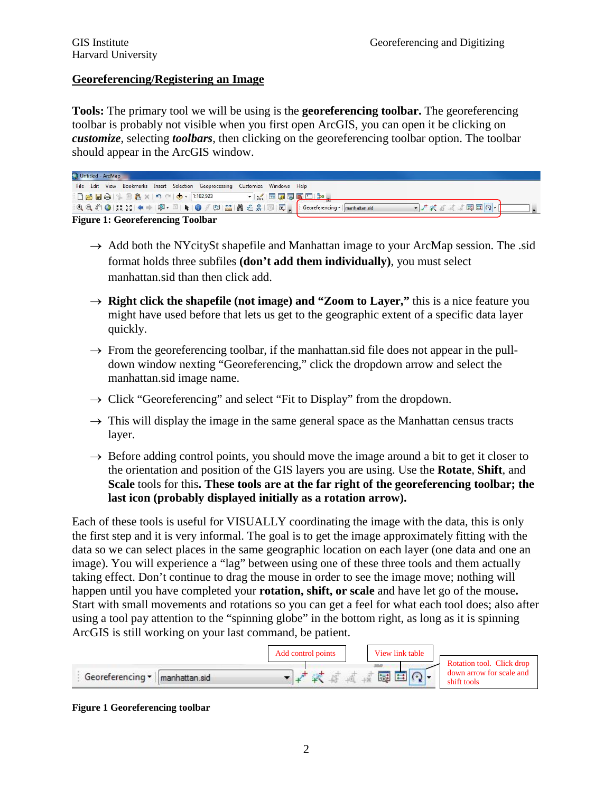#### **Georeferencing/Registering an Image**

**Tools:** The primary tool we will be using is the **georeferencing toolbar.** The georeferencing toolbar is probably not visible when you first open ArcGIS, you can open it be clicking on *customize*, selecting *toolbars*, then clicking on the georeferencing toolbar option. The toolbar should appear in the ArcGIS window.

| Untitled - ArcMap                                                                                                    |              |
|----------------------------------------------------------------------------------------------------------------------|--------------|
| File Edit View Bookmarks Insert Selection Geoprocessing Customize Windows Help                                       |              |
|                                                                                                                      |              |
| : Q Q �� O   # 23   ← →   p + ⊠ + ⊡   ┣   ④ ∮     □   ▲   ▲ 過 ☆           @   _   : Georeferencing *   manhattan.sid | · 本发展或数图图 2- |
| $\mathbf{E}$ and $\mathbf{E}$ and $\mathbf{E}$ and $\mathbf{E}$                                                      |              |

#### **Figure 1: Georeferencing Toolbar**

- $\rightarrow$  Add both the NYcitySt shapefile and Manhattan image to your ArcMap session. The .sid format holds three subfiles **(don't add them individually)**, you must select manhattan.sid than then click add.
- $\rightarrow$  **Right click the shapefile (not image) and "Zoom to Layer,"** this is a nice feature you might have used before that lets us get to the geographic extent of a specific data layer quickly.
- $\rightarrow$  From the georeferencing toolbar, if the manhattan.sid file does not appear in the pulldown window nexting "Georeferencing," click the dropdown arrow and select the manhattan.sid image name.
- $\rightarrow$  Click "Georeferencing" and select "Fit to Display" from the dropdown.
- $\rightarrow$  This will display the image in the same general space as the Manhattan census tracts layer.
- $\rightarrow$  Before adding control points, you should move the image around a bit to get it closer to the orientation and position of the GIS layers you are using. Use the **Rotate**, **Shift**, and **Scale** tools for this**. These tools are at the far right of the georeferencing toolbar; the last icon (probably displayed initially as a rotation arrow).**

Each of these tools is useful for VISUALLY coordinating the image with the data, this is only the first step and it is very informal. The goal is to get the image approximately fitting with the data so we can select places in the same geographic location on each layer (one data and one an image). You will experience a "lag" between using one of these three tools and them actually taking effect. Don't continue to drag the mouse in order to see the image move; nothing will happen until you have completed your **rotation, shift, or scale** and have let go of the mouse**.** Start with small movements and rotations so you can get a feel for what each tool does; also after using a tool pay attention to the "spinning globe" in the bottom right, as long as it is spinning ArcGIS is still working on your last command, be patient.



#### **Figure 1 Georeferencing toolbar**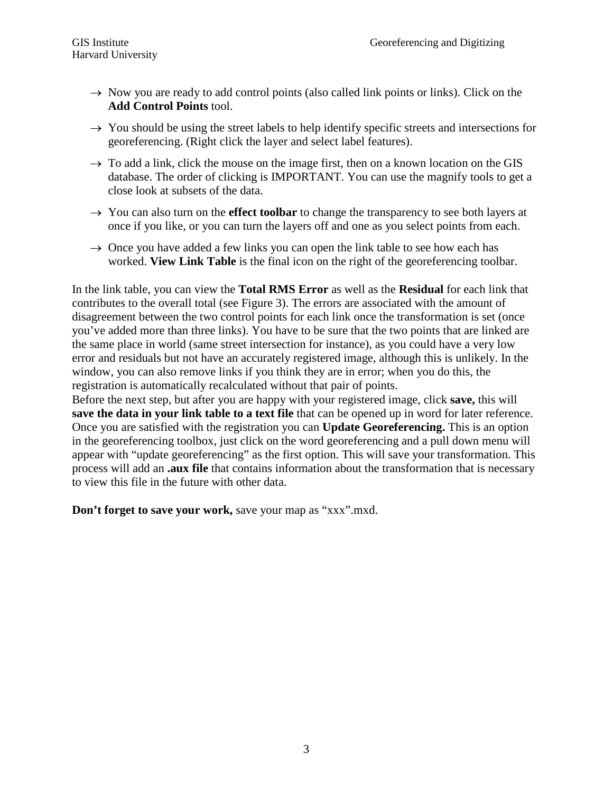- $\rightarrow$  Now you are ready to add control points (also called link points or links). Click on the **Add Control Points** tool.
- $\rightarrow$  You should be using the street labels to help identify specific streets and intersections for georeferencing. (Right click the layer and select label features).
- $\rightarrow$  To add a link, click the mouse on the image first, then on a known location on the GIS database. The order of clicking is IMPORTANT. You can use the magnify tools to get a close look at subsets of the data.
- $\rightarrow$  You can also turn on the **effect toolbar** to change the transparency to see both layers at once if you like, or you can turn the layers off and one as you select points from each.
- $\rightarrow$  Once you have added a few links you can open the link table to see how each has worked. **View Link Table** is the final icon on the right of the georeferencing toolbar.

In the link table, you can view the **Total RMS Error** as well as the **Residual** for each link that contributes to the overall total (see Figure 3). The errors are associated with the amount of disagreement between the two control points for each link once the transformation is set (once you've added more than three links). You have to be sure that the two points that are linked are the same place in world (same street intersection for instance), as you could have a very low error and residuals but not have an accurately registered image, although this is unlikely. In the window, you can also remove links if you think they are in error; when you do this, the registration is automatically recalculated without that pair of points.

Before the next step, but after you are happy with your registered image, click **save,** this will **save the data in your link table to a text file** that can be opened up in word for later reference. Once you are satisfied with the registration you can **Update Georeferencing.** This is an option in the georeferencing toolbox, just click on the word georeferencing and a pull down menu will appear with "update georeferencing" as the first option. This will save your transformation. This process will add an **.aux file** that contains information about the transformation that is necessary to view this file in the future with other data.

**Don't forget to save your work,** save your map as "xxx".mxd.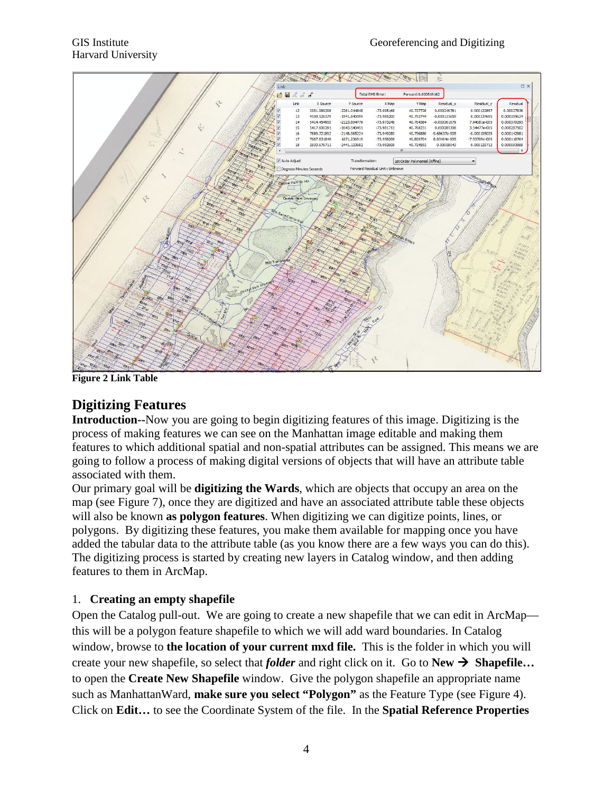

**Figure 2 Link Table**

## **Digitizing Features**

**Introduction--**Now you are going to begin digitizing features of this image. Digitizing is the process of making features we can see on the Manhattan image editable and making them features to which additional spatial and non-spatial attributes can be assigned. This means we are going to follow a process of making digital versions of objects that will have an attribute table associated with them.

Our primary goal will be **digitizing the Wards**, which are objects that occupy an area on the map (see Figure 7), once they are digitized and have an associated attribute table these objects will also be known **as polygon features**. When digitizing we can digitize points, lines, or polygons. By digitizing these features, you make them available for mapping once you have added the tabular data to the attribute table (as you know there are a few ways you can do this). The digitizing process is started by creating new layers in Catalog window, and then adding features to them in ArcMap.

### 1. **Creating an empty shapefile**

Open the Catalog pull-out. We are going to create a new shapefile that we can edit in ArcMap this will be a polygon feature shapefile to which we will add ward boundaries. In Catalog window, browse to **the location of your current mxd file.** This is the folder in which you will create your new shapefile, so select that *folder* and right click on it. Go to  $New \rightarrow Shapefile...$ to open the **Create New Shapefile** window. Give the polygon shapefile an appropriate name such as ManhattanWard, **make sure you select "Polygon"** as the Feature Type (see Figure 4). Click on **Edit…** to see the Coordinate System of the file. In the **Spatial Reference Properties**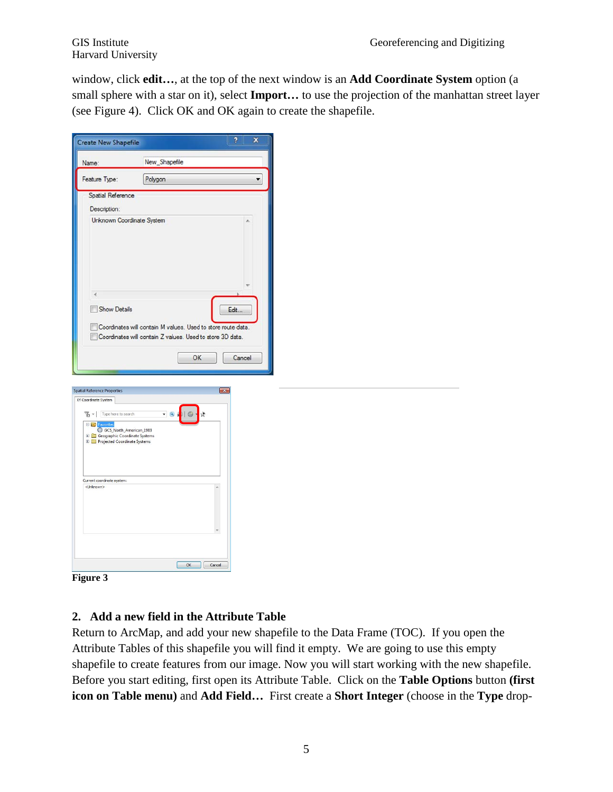Harvard University

window, click **edit…**, at the top of the next window is an **Add Coordinate System** option (a small sphere with a star on it), select **Import…** to use the projection of the manhattan street layer (see Figure 4). Click OK and OK again to create the shapefile.

| Name:                                                                                                                                                                                               | New_Shapefile                                                                                                                   |                |
|-----------------------------------------------------------------------------------------------------------------------------------------------------------------------------------------------------|---------------------------------------------------------------------------------------------------------------------------------|----------------|
| Feature Type:                                                                                                                                                                                       | Polygon                                                                                                                         | ۰              |
| Spatial Reference                                                                                                                                                                                   |                                                                                                                                 |                |
| Description:                                                                                                                                                                                        |                                                                                                                                 |                |
|                                                                                                                                                                                                     | Unknown Coordinate System                                                                                                       |                |
| Show Details                                                                                                                                                                                        | Coordinates will contain M values. Used to store route data.<br>Coordinates will contain Z values. Used to store 3D data.<br>OK | Edit<br>Cancel |
| <b>Spatial Reference Properties</b><br>XY Coordinate System<br>$\mathbb{Z}$ $\mathbb{Z}$ Type here to search<br><b>El Rio Favorites</b><br>GCS_North_American_1983<br>Geographic Coordinate Systems | $\boxed{3}$<br>$- 9$<br>ŵ                                                                                                       |                |
| <b>E</b> Projected Coordinate Systems<br>Current coordinate system:<br><unknown></unknown>                                                                                                          | $\lambda$                                                                                                                       |                |
|                                                                                                                                                                                                     |                                                                                                                                 |                |



## **2. Add a new field in the Attribute Table**

Return to ArcMap, and add your new shapefile to the Data Frame (TOC). If you open the Attribute Tables of this shapefile you will find it empty. We are going to use this empty shapefile to create features from our image. Now you will start working with the new shapefile. Before you start editing, first open its Attribute Table. Click on the **Table Options** button **(first icon on Table menu)** and **Add Field…** First create a **Short Integer** (choose in the **Type** drop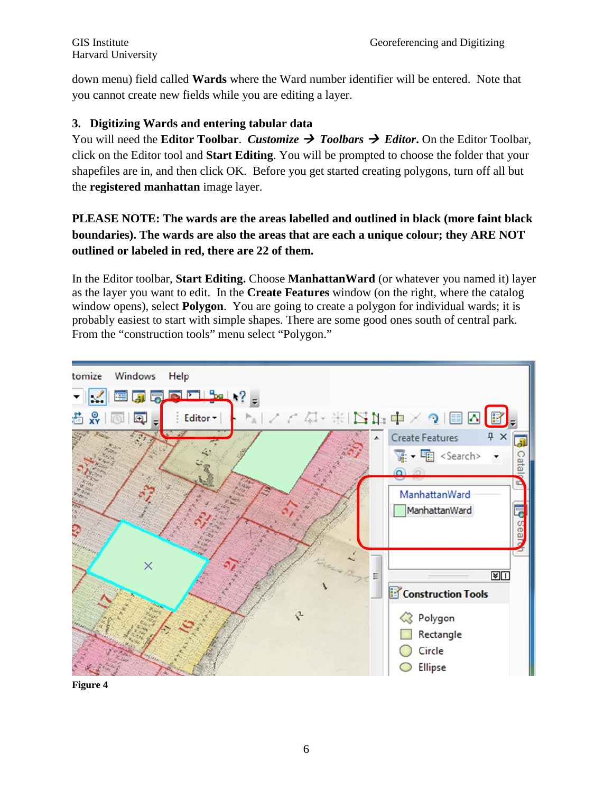down menu) field called **Wards** where the Ward number identifier will be entered. Note that you cannot create new fields while you are editing a layer.

### **3. Digitizing Wards and entering tabular data**

You will need the **Editor Toolbar**. *Customize*  $\rightarrow$  Toolbars  $\rightarrow$  Editor. On the Editor Toolbar, click on the Editor tool and **Start Editing**. You will be prompted to choose the folder that your shapefiles are in, and then click OK. Before you get started creating polygons, turn off all but the **registered manhattan** image layer.

## **PLEASE NOTE: The wards are the areas labelled and outlined in black (more faint black boundaries). The wards are also the areas that are each a unique colour; they ARE NOT outlined or labeled in red, there are 22 of them.**

In the Editor toolbar, **Start Editing.** Choose **ManhattanWard** (or whatever you named it) layer as the layer you want to edit. In the **Create Features** window (on the right, where the catalog window opens), select **Polygon**. You are going to create a polygon for individual wards; it is probably easiest to start with simple shapes. There are some good ones south of central park. From the "construction tools" menu select "Polygon."



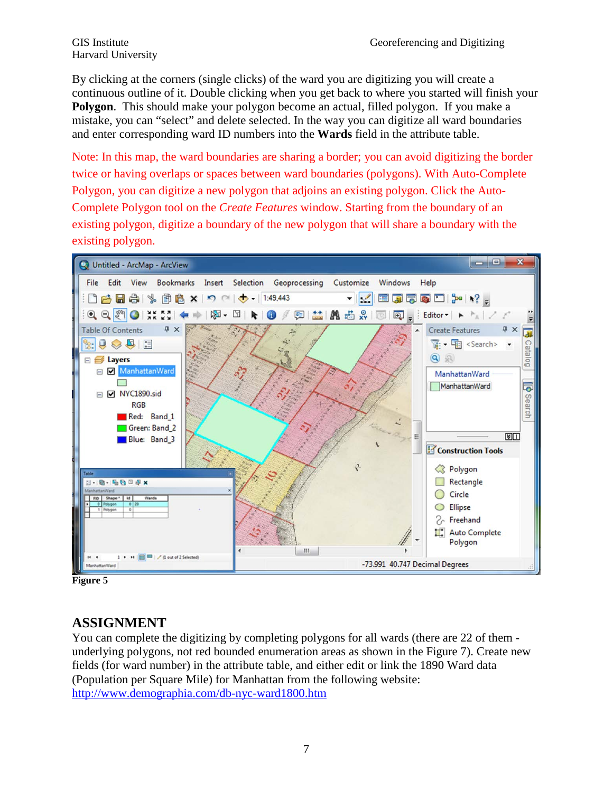Harvard University

By clicking at the corners (single clicks) of the ward you are digitizing you will create a continuous outline of it. Double clicking when you get back to where you started will finish your **Polygon**. This should make your polygon become an actual, filled polygon. If you make a mistake, you can "select" and delete selected. In the way you can digitize all ward boundaries and enter corresponding ward ID numbers into the **Wards** field in the attribute table.

Note: In this map, the ward boundaries are sharing a border; you can avoid digitizing the border twice or having overlaps or spaces between ward boundaries (polygons). With Auto-Complete Polygon, you can digitize a new polygon that adjoins an existing polygon. Click the Auto-Complete Polygon tool on the *Create Features* window. Starting from the boundary of an existing polygon, digitize a boundary of the new polygon that will share a boundary with the existing polygon.



**Figure 5**

## **ASSIGNMENT**

You can complete the digitizing by completing polygons for all wards (there are 22 of them underlying polygons, not red bounded enumeration areas as shown in the Figure 7). Create new fields (for ward number) in the attribute table, and either edit or link the 1890 Ward data (Population per Square Mile) for Manhattan from the following website: <http://www.demographia.com/db-nyc-ward1800.htm>